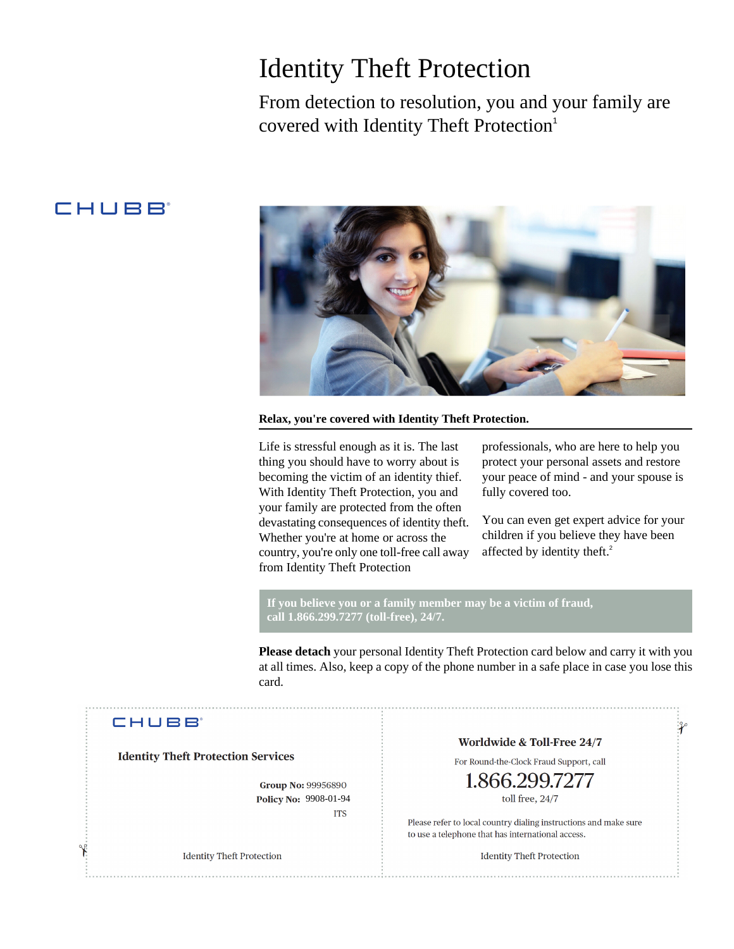## Identity Theft Protection

From detection to resolution, you and your family are covered with Identity Theft Protection<sup>1</sup>

### CHUBB



**Relax, you're covered with Identity Theft Protection.**

Life is stressful enough as it is. The last thing you should have to worry about is becoming the victim of an identity thief. With Identity Theft Protection, you and your family are protected from the often devastating consequences of identity theft. Whether you're at home or across the country, you're only one toll-free call away from Identity Theft Protection

professionals, who are here to help you protect your personal assets and restore your peace of mind - and your spouse is fully covered too.

You can even get expert advice for your children if you believe they have been affected by identity theft.<sup>2</sup>

 $\mathcal{X}$ 

**If you believe you or a family member may be a victim of fraud, call 1.866.299.7277 (toll-free), 24/7.**

**Please detach** your personal Identity Theft Protection card below and carry it with you at all times. Also, keep a copy of the phone number in a safe place in case you lose this card.

### **CHUBB**

**Identity Theft Protection Services** 

**Group No: 99956890** Policy No: 9908-01-94 **ITS** 

**Identity Theft Protection** 

#### Worldwide & Toll-Free 24/7

For Round-the-Clock Fraud Support, call

# toll free, 24/7

Please refer to local country dialing instructions and make sure to use a telephone that has international access.

**Identity Theft Protection**